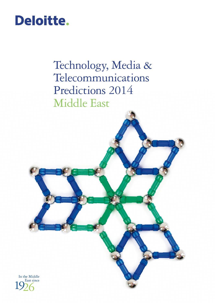# Deloitte.

Technology, Media & Telecommunications Predictions 2014 Middle East

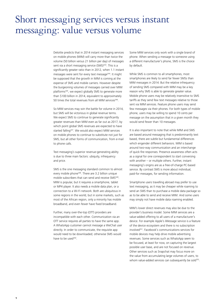## Short messaging services versus instant messaging: value versus volume

Deloitte predicts that in 2014 instant messaging services on mobile phones (MIM) will carry more than twice the volume (50 billion versus 21 billion per day) of messages sent via a short messaging service (SMS)<sup>343</sup>. This is a significantly greater ratio than in 2012, when 1.1 instant messages were sent for every text message<sup>344</sup>. It might be supposed that the growth in MIM is coming at the expense of SMS and mobile carriers. However despite the burgeoning volumes of messages carried over MIM platforms<sup>345</sup>, we expect globally SMS to generate more than \$100 billion in 2014, equivalent to approximately 50 times the total revenues from all MIM services<sup>346</sup>.

So MIM services may win the battle for volume in 2014, but SMS will be victorious in global revenue terms. We expect SMS to continue to generate significantly greater revenues than MIM even as far out as 2017, by which point global SMS revenues are expected to have started falling<sup>347</sup>. We would also expect MIM services on mobile phones to continue to substitute not just for SMS, but all other forms of communication, from e-mail to phone calls.

Text messaging's superior revenue‑generating ability is due to three main factors: ubiquity, infrequency and price.

SMS is the one messaging standard common to almost every mobile phone<sup>348</sup>. There are 3.2 billion unique mobile subscribers that can send and receive SMS<sup>349</sup>. MIM is popular, but it requires a smartphone, tablet or MP4 player. It also needs a mobile data plan, or a connection to a Wi‑Fi network. Both are ubiquitous in some regions in the world, but in some markets, such as most of the African region, only a minority has mobile broadband, and even fewer have fixed broadband.

Further, many over-the-top (OTT) providers are incompatible with each other. Communication via an OTT service requires all parties to have the same app. A WhatsApp customer cannot message a WeChat user directly. In order to communicate, the requisite app would need to be downloaded; otherwise SMS would have to be used<sup>350</sup>.

Some MIM services only work with a single brand of phone. When sending a message to someone using a different manufacturer's phone, SMS is the choice by default.

While SMS is common to all smartphones, most smartphones are likely to send far fewer SMSs than MIM messages in 2014. But the relative infrequency of sending SMS compared with MIM may be a key reason why SMS is able to generate greater value. Mobile phone users may be relatively insensitive to SMS tariffs as they send few text messages relative to those sent via MIM services. Feature phone users may send few messages via their phones. For both types of mobile phone, users may be willing to spend 10 cents per message on the assumption that in a given month they would send fewer than 10 messages.

It is also important to note that while MIM and SMS are based around messaging that is predominantly text based, there are subtle but fundamental differences which engender different behaviors. MIM is based around two‑way communication and an interchange of quick-fire responses. Presence awareness often acts as a signal for one correspondent to start conversing with another – or multiple others. Further, instant messaging's origins are as a free‑of‑charge PC-based service. By contrast SMS is more about individual, paid-for messages, for sending information.

Smartphone users travelling abroad may prefer to use text messaging, as it may be cheaper while roaming to send an SMS than to purchase a mobile data package so as to be able to send and receive MIM. And some users may simply not have mobile data roaming enabled.

MIM's lower direct revenues may also be due to the provider's business model. Some MIM services are a value‑added offering to all users of a manufacturer's device. For example Apple's iMessage service is a feature of the device ecosystem and there is no subscription involved351. Facebook's communications services for mobile devices may help drive mobile advertising revenues. Some services such as WhatsApp seem to be focused, at least for now, on capturing the largest possible user base, and are not focused on revenue. Other services such as Snapchat may focus more on the value from accumulating large volumes of users, to whom value-added services can subsequently be sold<sup>352</sup>.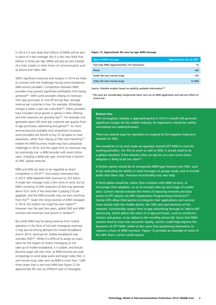In 2014 it is very likely that trillions of MIMs will be sent in place of a text message. But it is also very likely that, billions of times per day, MIMs will also be sent instead of e‑mail, tweets or other forms of communication such as phone and video calls.

SMS's significant revenues and margins in 2014 are likely to contrast with the challenges facing some standalone MIM service providers. Competition between MIM providers may prevent significant profitability from being achieved<sup>353</sup>. With some providers relying on revenues from app purchases or one‑off annual fees, average revenue per customer is low. For example, WhatsApp charges a dollar a year per subscriber<sup>354</sup>. Other providers have included virtual goods or games in their offering, and their revenues are growing fast<sup>355</sup>. For example Line generates about 69 cents per customer per quarter from in-app purchases, advertising and games<sup>356</sup>. As more services become available and competition increases, some providers are forced to buy TV ad space to raise awareness, rather than relying on free viral marketing<sup>357</sup>. Indeed the MIM business model may face substantial challenges in 2014, and the upper limit on revenues may be surprisingly low: a MIM provider with seven billion users, charging a dollar per year, would have a fraction of SMS' global revenues.

MIM and SMS are likely to be regarded as direct competitors in 2014358. One analyst estimated that in 2013, MIM depleted SMS revenues by \$32 billion. A single text message costs a few cents to send, but an MIM consisting of 200 characters of text may generate about 0.01 cents if the subscriber is paying \$10 per gigabyte, and the MIM provider may not earn anything from this<sup>359</sup>. Given the rising volumes of MIM messages in 2014, the implicit loss might be even higher<sup>360</sup>. However over the past few years, global SMS and MIM volumes and revenues have grown in tandem<sup>361</sup>.

But while MIM may be taking revenue from mobile operators in the form of lost text messaging revenues, it may also be driving demand for mobile broadband. And in 2014, revenues for mobile broadband may overtake SMS<sup>362</sup>. While it is difficult to assign an exact value for the impact of instant messaging on the take‑up of mobile broadband, it is sizable, and should become larger still over time, as MIM services are used increasingly to send large audio and larger video files. A one minute‑long video sent via MIM is more than 1,000 times larger than a text-only MIM (see Figure 12 for approximate file sizes by different type of messages).

#### **Figure 12: Approximate file sizes by type MIM message**

| <b>Type of MIM message</b>                   | Approximate size (in KB)* |
|----------------------------------------------|---------------------------|
| Text-only MIM (approximately 150 characters) | 10                        |
| Photo                                        | 100                       |
| Audio file (one minute long)                 | 150                       |
| Video file (one minute long)                 | 12.000                    |

Source: Deloitte analysis based on publicly available information<sup>363</sup>

\* File sizes are considerably compressed when sent via an MIM application and will not reflect its actual size.

#### **Bottom line**

Text messaging's heyday is approaching but in 2014 it should still generate significant margin for the mobile industry. Its importance should be neither overlooked nor underestimated.

There are several ways for operators to respond to the negative long-term outlook for SMS.

One would be to try and create an operator‑owned OTT MIM to rival the existing providers. For this to work as well as SMS, it would need to be a global standard; if the industry relies on opt-ins on a per carrier basis, adoption is likely to be too slow<sup>364</sup>.

A further option would be to incorporate MIM‑type features into SMS, such as by replicating the ability to send messages to groups easily, and to include audio and video clips. Presence functionality may also help.

A third option would be, rather than compete with MIM services, to encourage their adoption, so as to increase take‑up and usage of mobile data. Carriers should evaluate the merits of exposing network and data assets to OTT players via APIs (Application Programming Interfaces)<sup>365</sup>. Carrier APIs allow third parties to integrate their applications and services more closely with the mobile device, the SIM card and elements of the network. Functionality ranges from in-app advertising through to 'add-to-bill' processing, which allows the value of in‑app purchases, such as emoticons, stickers and games, to be added to the monthly phone bill. Given that MIM services tend to have low consumer loyalty, carriers could help improve the dynamics of OTT MIM, whilst at the same time positioning themselves to capture a share of MIM revenues. Figure 13 provides an example of some of the APIs that a carrier could expose.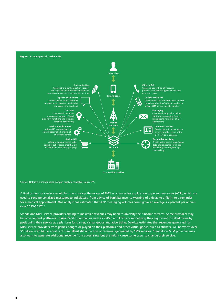

Source: Deloitte research using various publicly available sources<sup>366</sup>.

A final option for carriers would be to encourage the usage of SMS as a bearer for application to person messages (A2P), which are used to send personalized messages to individuals, from advice of bank balance, to warning of a delay to a flight, to a reminder for a medical appointment. One analyst has estimated that A2P messaging volumes could grow an average six percent per annum over 2013-2017<sup>367</sup>.

Standalone MIM service providers aiming to maximize revenues may need to diversify their income streams. Some providers may become content platforms. In Asia Pacific, companies such as KaKao and LINE are monetizing their significant installed bases by positioning their service as a platform for games, virtual goods and advertising. Deloitte estimates that revenues generated for MIM service providers from games bought or played on their platforms and other virtual goods, such as stickers, will be worth over \$1 billion in 2014 – a significant sum, albeit still a fraction of revenues generated by SMS services. Standalone MIM providers may also want to generate additional revenue from advertising, but this might cause some users to change their service.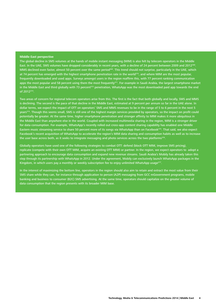#### **Middle East perspective**

The global decline in SMS volumes at the hands of mobile instant messaging (MIM) is also felt by telecom operators in the Middle East. In the UAE, SMS volumes have dropped considerably in recent years, with a decline of 24 percent between 2009 and 2012<sup>368</sup> MMS declined even faster, almost 50 percent over the same period<sup>369</sup>. This trend should not surprise, particularly in the UAE, which at 74 percent has emerged with the highest smartphone penetration rate in the world<sup>370</sup>, and where MIM are the most popular. frequently downloaded and used apps. Surveys amongst users in the region reaffirm this, with 77 percent ranking communication apps the most popular and 58 percent using them the most frequently<sup>371</sup>. For example in Saudi Arabia, the largest smartphone market in the Middle East and third globally with 73 percent<sup>372</sup> penetration, WhatsApp was the most downloaded paid app towards the end of 2012373.

Two areas of concern for regional telecom operators arise from this. The first is the fact that both globally and locally, SMS and MMS is declining. The second is the pace of that decline in the Middle East, estimated at 9 percent per annum so far in the UAE alone. In dollar terms, we expect the impact of OTT on operators' SMS and MMS revenues to be in the range of 5 to 6 percent in the next 5 years<sup>374</sup>. Though this seems small, SMS is still one of the highest margin services provided by operators, so the impact on profit could potentially be greater. At the same time, higher smartphone penetration and stronger affinity to MIM makes it more ubiquitous in the Middle East than anywhere else in the world. Coupled with increased multimedia sharing in the region, MIM is a stronger driver for data consumption. For example, WhatsApp's recently rolled out cross-app content sharing capability has enabled one Middle Eastern music streaming service to share 50 percent more of its songs via WhatsApp than on Facebook<sup>375</sup>. That said, we also expect Facebook's recent acquisition of WhatsApp to accelerate the region's MIM data sharing and consumption habits as well as to increase the user base across both, as it seeks to integrate messaging and photo services across the two platforms<sup>376</sup>.

Globally operators have used one of the following strategies to combat OTT: defend (block OTT MIM, improve SMS pricing), replicate (compete with their own OTT MIM, acquire an existing OTT MIM) or partner. In the region, we expect operators to adopt a partnering approach to encourage data consumption and expand new revenue streams. Saudi Arabia's Mobily has already taken this step through its partnership with WhatsApp in 2012. Under the agreement, Mobily can exclusively launch WhatsApp packages in the Kingdom, in which users pay a monthly or weekly subscription fee to enjoy unlimited WhatsApp usage<sup>377</sup>.

In the interest of maximizing the bottom line, operators in the region should also aim to retain and extract the most value from their SMS share while they can, for instance through application to person (A2P) messaging from GCC mGovernment programs, mobile banking and business to consumer (B2C) SMS advertising. At the same time, operators should capitalize on the greater volume of data consumption that the region presents with its broader MIM base.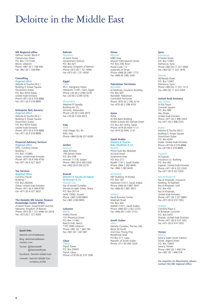# Deloitte in the Middle East

### **ME Regional office** Gefinor Center, Block D

Clemenceau Street P.O. Box 113-5144 Beirut, Lebanon Phone +961 (0) 1 748 444 Fax +961 (0) 1 748 999

#### **Consulting**

onal office Deloitte & Touche (M.E.) Building 3, Emaar Square Downtown Dubai P.O. Box 4254 Dubai, United Arab Emirates Phone +971 (0) 4 376 8888 Fax +971 (0) 4 376 8899

#### **Enterprise Risk Services**

**Ional office** Deloitte & Touche (M.E.) Building 3, Emaar Square Downtown Dubai P.O. Box 4254 Dubai United Arab Emirates Phone +971 (0) 4 376 8888 Fax +971 (0) 4 376 8899

#### **Financial Advisory Services**

anal office DIFC, Currency House Building 1 P.O. Box 112865 Dubai, United Arab Emirates Phone +971 (0) 4 506 4700 Fax +971 (0) 4 327 3637

#### **Tax Services**

Regional office **Currency House** Building 1 P.O. Box 282056 Dubai, United Arab Emirates Phone +971 (0) 4 506 4700 Fax +971 (0) 4 327 3637

#### **The Deloitte ME Islamic Finance**

**Knowledge Center (IFKC)** Al Zamil Tower. Government Avenue, Manama, Kingdom of Bahrain Phone +973 (0) 1 721 4490 Ext 2018 Fax +973 (0) 1 721 4550

#### Quick links

deloitte.com/middleeast Blog: deloittemiddleeast

matters.com

Twitter: @DeloitteME @DeloitteMEjobs

Facebook: Deloitte Middle East Linkedin: Deloitte Middle East company profile

### **Bahrain**

Manama Al Zamil Tower Government Avenue P.O. Box 421 Manama, Kingdom of Bahrain Phone +973 (0) 1 721 4490 Fax +973 (0) 1 721 4550

#### **Egypt**

Cairo<br>95 C, Merghany Street, Heliopolis 11341, Cairo, Egypt Phone +20 (0) 2 2290 3278 Fax +20 (0) 2 2290 3276

#### Alexandria Madinet El Sayadla

Building No 10, Smouha, Alexandria Phone +20 (0) 3 426 4975 Fax +20 (0) 3 426 4975

#### **Iraq**

Erbil Vital Village, No. 42 Erbil, Iraq Phone +964 (0) 66 257 6200

#### **Jordan**

Amman Jabal Amman, 190 Zahran Street P.O. Box 248 Amman 11118, Jordan Phone +962 (0) 6 550 2200 Fax +962 (0) 6 550 2210

#### **Kuwait** Deloitte & Touche Al-Fahad

Al-Wazzan & Co. vait City Dar Al-Awadi Complex Ahmed Al-Jaber Street, Sharq P.O. Box 20174 Safat 13062, Kuwait Phone +965 2240 8844 Fax +965 2240 8855

#### **Lebanon**

Beirut Arabia House, 131 Phoenicia Street P.O. Box 11-961 Riad El-Solh, Beirut 1107 2060 Lebanon Phone +961 (0) 1 364 700 Fax +961 (0) 1 367 087

#### **Libya**

Tripoli Tripoli Tower P.O. Box 93645 Tripoli, Libya Phone +218 (0) 92 370 1049

#### **Oman**

Muscat MBD Area Muscat International Center P.O. Box 258, Ruwi Postal Code 112 Sultanate of Oman Phone +968 (0) 2481 7775 Fax +968 (0) 2481 5581

#### **Palestinian Territories**

Ramallah Al Mashreq, Insurance Building P.O. Box 447 Ramallah, Palestinian Controlled Territories Phone +970 (0) 2 295 4714 Fax +970 (0) 2 298 4703

#### **Qatar**

Doha Al Ahli Bank Building Sheikh Suhaim Bin Hamad Street P.O. Box 431 Doha, Qatar Phone +974 (0) 4434 1112 Fax +974 (0) 4442 2131

#### **Saudi Arabia**

Deloitte & Touche Bakr Abulkhair & Co. Riyadh Prince Turki Bin Abdullah Al-Saud Street Sulaimania Area P.O. Box 213 Riyadh 11411, Saudi Arabia Phone +966 1 282 8400

Fax +966 1 282 8428

#### Al Khobar

ABT Building, Al Khobar P.O. Box 182 Dammam 31411, Saudi Arabia Phone +966 (0) 3 887 3937 Fax +966 (0) 3 887 3931

#### Jeddah

Saudi Business Center Madinah Road P.O. Box 442 Jeddah 21411, Saudi Arabia Phone +966 (0)1 2 657 2725 Fax +966 (0)1 2 657 2722

#### **South Sudan**

Juba Deloitte Complex, Plot No.160, Block 3K-South 2nd Class Thong Ping Residential Area P.O Box 511, Juba, Republic of South Sudan Phone +211 92 000 1024

#### **Syria**

Damascus 9 Fardos Street P.O. Box 12487 Damascus, Syria Phone +963 (0) 11 221 5990 Fax +963 (0) 11 222 1878

#### Rawda

38 Rawda Street P.O. Box 12487 Damascus, Syria Phone +963 (0) 11 331 1212 Fax +963 (0) 11 332 2304

### **United Arab Emirates**

Abu Dhabi Al Sila Tower Sowwah Square P.O. Box 990 Abu Dhabi, United Arab Emirates Phone +971 (0) 2 408 2424 Fax +971 (0) 2 408 2525

#### Dubai

Deloitte & Touche (M.E.) Building 3, Emaar Square Downtown Dubai P.O. Box 4254 Dubai, United Arab Emirates Phone +971(0) 4 376 8888 Fax +971(0) 4 376 8899

#### Fujairah

Al-Fujairah Insurance Co. Building P.O. Box 462 Fujairah, United Arab Emirates Phone +971 (0) 9 222 2320 Fax +971 (0) 9 222 5202

#### Ras Al-Khaimah

Ras Al-Khaimah, Insurance Building, Al-Nakheel, Ras Al-Khaimah, UAE P.O. Box 435 Ras Al-Khaimah, United Arab Emirates Phone +971 (0) 7 227 8892 Fax +971 (0) 6 574 1053

#### Sharjah

Corniche Plaza 2, Al Buhairah Corniche P.O. Box 5470 Sharjah, United Arab Emirates Phone +971 (0) 6 574 1052 Fax +971 (0) 6 574 1053

#### **Yemen**

Sana'a Sana'a Trade Center Eastern Tower, Algeria Street P.O. Box 15655 Sana'a, Yemen Phone +967 (0) 1 448 374 Fax +967 (0) 1 448 378

For inquiries on Mauritania, please contact the ME regional office.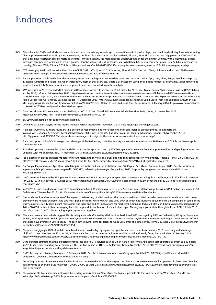# **Endnotes**

- 343 The volume for SMSs and MIMs sent are estimated based on existing knowledge, conversations with industry players and published industry forecasts including: Chat apps have overtaken SMS by message volume, but how big a disaster is that for carriers?, Gigaom, 29 April 2013. See: http://gigaom.com/2013/04/29/ chat-apps-have-overtaken-sms-by-message-volume/ . Of this quantity, the market leader WhatsApp has by far the highest volume, with a claimed 27 billion messages sent per day, which on its own is greater than the volume of text messages. See: WhatsApp hits new record after processing 27 billion messages in one day, The Next Web, 13 June 2013: http://thenextweb.com/mobile/2013/06/13/whatsapp-is-now-processing-a-record-27-billion-messages-per-day/.
- 344 OTT messaging traffic will be twice the volume of P2P SMS traffic by end-2013, Informa, 29 April 2013. See: http://blogs.informatandm.com/12861/newsrelease-ott-messaging-traffic-will-be-twice-the-volume-of-p2p-sms-traffic-by-end-2013/
- 345 For the purposes of this prediction, the following instant messaging services/providers have been included: WhatsApp, Line, Viber, Tango, WeChat, Snapchat, iMessage, Nimbuzz and KakaoTalk. Upon installation, most of these services, create a user account using one's phone number as username. Social networking services for which MIM is a subordinate component have been excluded from this analysis.
- 346 SMS revenues in 2013 reached \$120 billion in 2013 and are forecast to decline to \$96.7 billion by 2018. See: Global annual SMS revenues will be US\$23 billion less by 2018, Informa, 14 November 2013: http://www.informa.com/Media-centre/Press-releases-- news/Latest-News/Global-annual-SMS-revenues-will-be-US23-billion-less-by-2018/ ; For more information on revenues for major MIM players, see: Snapchat Could Learn From The Explosive Growth In This Messaging App's Sticker And Ad Revenue, Business Insider, 17 December 2013: http://www.businessinsider.in/Snapchat-Could-Learn-From-The-Explosive-Growth-In-This-Messaging-Apps-Sticker-And-Ad-Revenue/articleshow/27546896.cms ; Kakao to be Listed Next Year, BusinessKorea, 7 January 2014: http://www.businesskorea. co.kr/article/2851/kakao-ipo-kakao-be-listed-next-year
- 347 Ovum anticipates SMS revenues to start declining as of 2017. See: Global SMS revenues will decline after 2016, Ovum, 11 November 2013: http://ovum.com/2013/11/11/global-sms-revenues-will-decline-after-2016/
- 348 2G CDMA handsets do not support text messaging.
- 349 Definitive data and analysis for the mobile industry, GSMA Intelligence, November 2013. See: https://gsmaintelligence.com/
- 350 A global survey of MIM users found that 58 percent of respondents had more than one MIM app installed on their phone. In Indonesia the average was 4.2 apps. See: Study: Facebook Messenger still reigns in the U.S. but other countries look to WhatsApp, Gigaom, 26 November 2013: http://gigaom.com/2013/11/26/study-facebook-messenger-still-reigns-in-the-u-s-but-other-countries-look-to-whatsapp/
- 351 For a description of Apple's iMessage, see: Messages Unlimited texting Unlimited fun, Apple, website as accessed on 16 December 2013. https://www.apple. com/ios/messages/
- 352 Snapchat's planned commercialization model is based on the approach used by WeChat, generating revenue from in-app transactions and gaming services. See: Chatting With Mr Snapchat, BBC, 14 November 2013: http://www.bbc.co.uk/news/technology-24925932
- 353 For a discussion on the business models for instant messaging services, see: BBM app hits 10m downloads on rival phones, Financial Times, 23 October 2013: http://www.ft.com/cms/s/0/7555ea62-3bcc-11e3-b85f-00144feab7de.html?siteedition=uk#axzz2kvbMDy4d (Registration required)
- 354 On Google Play and Apple App Store, WhatsApp is free in the first year of installation and \$0.99/year. See: iTunes Preview, Apple, 2013. See: https://itunes. apple.com/gb/app/whatsapp-messenger/id310633997 ; WhatsApp Messenger, Google Play, 2013: https://play.google.com/store/apps/details?id=com. whatsapp&hl=en\_GB
- 355 Line's revenues increased by 45.3 percent in one quarter and 348.9 percent year-on-year. See: Japanese messaging firm LINE brings in \$132 million in revenue for Q2 2013, The Next Web, 8 August 2013: http://thenextweb.com/apps/2013/08/08/line-corp-brings-in-132m-of-revenue-in-q2-2013-as-its-messaging-appcontributes-76/
- 356 In Q3 2013, Line recorded a revenue of \$194 million and had 280 million registered users. See: Line app is still growing, brings in \$194 million in revenue in Q3, Tech In Asia, 7 November 2013: http://www.techinasia.com/line-app-financials-q3-2013-sees-revenue-194-million-bucks/
- 357 One study has found some evidence of the impact of advertising of MIM services. The survey asked which MIM provider users would switch to if their current provider were no long available. The two most popular choices were WeChat and Line, both of which had launched above the line ad campaigns in some of the study countries. See: Mobile instant messaging: The killer app and its implications for marketers, Campaign India, 29 May 2013: http://www.campaignindia.in/ Article/344951,mobile-instant-messaging-the-killer-app-and-its-implications-for-marketers.aspx ; Messaging apps escalate their global war, BGR, 15 July 2013 http://bgr.com/2013/07/15/messaging-app-analysis-whatsapp-line
- 358 There are many articles which suggest SMS is being adversely affected by MIM services:Traditional SMS destroyed by BBM and WhatsApp IM apps, Know your mobile, 14 August 2013. See: http://www.knowyourmobile.com/network/21020/traditional-sms-destroyed-bbm-and-whatsapp-im-app s. Also, see: It's official: chat apps have overtaken SMS globally. The cash cow is dying. Time for telcos to wake up & smell the data coffee, Twitter, 29 April 2013: https://twitter.com/ NeelieKroesEU/statuses/328779137206587394
- 359 The price per gigabyte (GB) of mobile broadband varies considerably, by region, by operator and over time. As of January 2013, one study noted a range of \$3.80 to over \$40. See: At \$22 per GB, N. America is 2nd most expensive region for mobile broadband, study finds, Fierce Wireless, 30 January 2013: http://www.fiercewireless.com/tech/story/22-gb-n-america-2nd-most-expensive-region-mobile-broadband-study-finds/2013-01-30
- 360 Delta Partners estimate that the expected revenue loss due to OTT services such as Viber, Kakao Talk, WhatsApp could cost operators as much as \$40 billion in 2014. See: Understanding data economics: The top-line impact of OTTs, Delta Partners Group, November 2013: http://www.deltapartnersgroup.com/our\_ insights/whitepapers/understanding-data-economics
- 361 OMG! Texting turns twenty, Economist, 3 December 2012. See: http://www.economist.com/blogs/graphicdetail/2012/12/daily-chart?fsrc=scn/fb/wl/dc/ omgtexting (requires a subscription to read the full article)
- 362 According to analyst firm Ovum, mobile data is forecast to overtake SMS as the largest contributor to non-voice revenues for operators in 2014. See: Mobile data revenue to overtake SMS next year – Ovum, Ovum, 29 April 2013: http://www.mobilenewscwp.co.uk/2013/04/29/mobile-data-revenue-to-overtake-smsnext-year-ovum/
- 363 The average file types have been obtained by sending various files via WhatsApp. The highest possible file that can be sent via WhatsApp is 16 MB. See: WhatsApp FAQ, WhatsApp, 2013: http://www.whatsapp.com/faq/iphone/20964587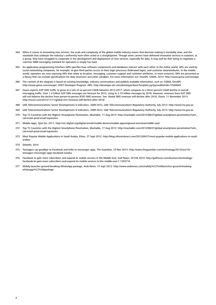- 364 When it comes to innovating new services, the scale and complexity of the global mobile industry means that decision-making is inevitably slow, and the standards that underpin the industry's uniformity have often acted as a straightjacket. Though some carriers have delivered innovative services in isolation, as a group, they have struggled to cooperate in the development and deployment of new services, especially for data. It may well be that trying to negotiate a common MIM messaging standard for operators is simply too hard.
- 365 An application programming interface (API) specifies how software components and databases interact with each other. In the online world, APIs are used by social networking companies, for example, to give third parties access to their login processes (federated login), and customer data/attributes. In the mobile world, operators are now exposing APIs that relate to location, messaging, customer support and customer attributes. In most instances, APIs are presented as a library that can include specifications for data structures and other variables. For more information see: OneAPI, GSMA, 2013: http://www.gsma.com/oneapi/
- 366 The content of the diagram is based on existing knowledge, industry conversations and publicly available information, such as: GSMA, OneAPI: http://www.gsma.com/oneapi/; AT&T Developer Program, APIs: http://developer.att.com/developer/basicTemplate.jsp?passedItemId=12500043
- 367 Ovum expects A2P SMS traffic to grow at a rate of six percent CAGR between 2013-2017, which compares to a three percent CAGR decline in overall messaging traffic. Over 1.4 trillion A2P SMS messages are forecast for 2013, rising to 2.19 trillion messages by 2018. However, revenues from A2P SMS will not balance the decline from person-to-person (P2P) SMS revenues. See: Global SMS revenues will decline after 2016, Ovum, 11 November 2013: http://ovum.com/2013/11/11/global-sms-revenues-will-decline-after-2016/
- 368 UAE Telecommunications Sector Developments & Indicators, 2009-2012, UAE Telecommunications Regulatory Authority, July 2013: http://www.tra.gov.ae
- 369 UAE Telecommunications Sector Developments & Indicators, 2009-2012, UAE Telecommunications Regulatory Authority, July 2013: http://www.tra.gov.ae
- 370 Top 15 Countries with the Highest Smartphone Penetration, Mashable, 17 Aug 2013: http://mashable.com/2013/08/27/global-smartphone-penetration/?utm\_ cid=mash-prod-email-topstories
- 371 Mobile Apps, Spot On, 2011: http://etc-digital.org/digital-trends/mobile-devices/mobile-apps/regional-overview/middle-east/
- 372 Top 15 Countries with the Highest Smartphone Penetration, Mashable, 17 Aug 2013: http://mashable.com/2013/08/27/global-smartphone-penetration/?utm\_ cid=mash-prod-email-topstories
- 373 Most Popular Mobile Applications in Saudi Arabia, Ethos, 27 Sept 2012: http://blog.ethosinteract.com/2012/09/27/most-popular-mobile-applications-in-saudiarabia/
- 374 Deloitte, 2014
- 375 Teenagers say goodbye to Facebook and hello to messenger apps, The Guardian, 10 Nov 2013: http://www.theguardian.com/technology/2013/nov/10/ teenagers-messenger-apps-facebook-exodus
- 376 Facebook to gain more subscribers and expand its mobile services in the Middle East, Gulf News, 20 Feb 2014: http://gulfnews.com/business/technology/ facebook-to-gain-more-subscribers-and-expand-its-mobile-services-in-the-middle-east-1.1293716
- 377 Mobily launches ground-breaking WhatsApp package, Arab News, 15 Sept 2012: http://www.arabnews.com/mobily%C2%A0launches-ground-breakingwhatsapp%C2%A0package